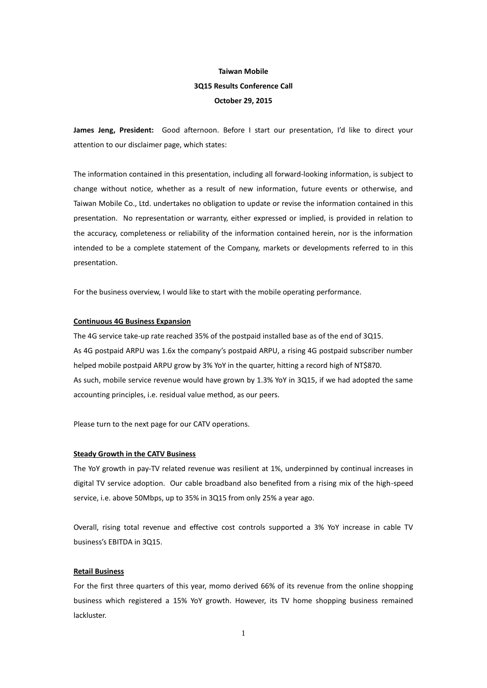# **Taiwan Mobile 3Q15 Results Conference Call October 29, 2015**

**James Jeng, President:** Good afternoon. Before I start our presentation, I'd like to direct your attention to our disclaimer page, which states:

The information contained in this presentation, including all forward-looking information, is subject to change without notice, whether as a result of new information, future events or otherwise, and Taiwan Mobile Co., Ltd. undertakes no obligation to update or revise the information contained in this presentation. No representation or warranty, either expressed or implied, is provided in relation to the accuracy, completeness or reliability of the information contained herein, nor is the information intended to be a complete statement of the Company, markets or developments referred to in this presentation.

For the business overview, I would like to start with the mobile operating performance.

### **Continuous 4G Business Expansion**

The 4G service take-up rate reached 35% of the postpaid installed base as of the end of 3Q15. As 4G postpaid ARPU was 1.6x the company's postpaid ARPU, a rising 4G postpaid subscriber number helped mobile postpaid ARPU grow by 3% YoY in the quarter, hitting a record high of NT\$870. As such, mobile service revenue would have grown by 1.3% YoY in 3Q15, if we had adopted the same accounting principles, i.e. residual value method, as our peers.

Please turn to the next page for our CATV operations.

#### **Steady Growth in the CATV Business**

The YoY growth in pay-TV related revenue was resilient at 1%, underpinned by continual increases in digital TV service adoption. Our cable broadband also benefited from a rising mix of the high-speed service, i.e. above 50Mbps, up to 35% in 3Q15 from only 25% a year ago.

Overall, rising total revenue and effective cost controls supported a 3% YoY increase in cable TV business's EBITDA in 3Q15.

### **Retail Business**

For the first three quarters of this year, momo derived 66% of its revenue from the online shopping business which registered a 15% YoY growth. However, its TV home shopping business remained lackluster.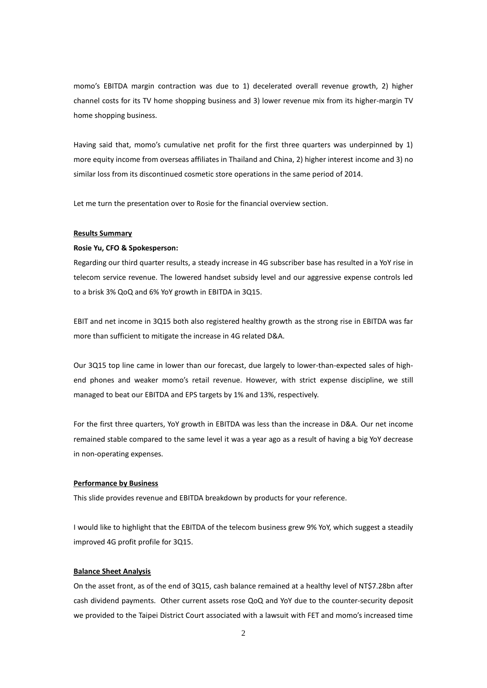momo's EBITDA margin contraction was due to 1) decelerated overall revenue growth, 2) higher channel costs for its TV home shopping business and 3) lower revenue mix from its higher-margin TV home shopping business.

Having said that, momo's cumulative net profit for the first three quarters was underpinned by 1) more equity income from overseas affiliates in Thailand and China, 2) higher interest income and 3) no similar loss from its discontinued cosmetic store operations in the same period of 2014.

Let me turn the presentation over to Rosie for the financial overview section.

#### **Results Summary**

#### **Rosie Yu, CFO & Spokesperson:**

Regarding our third quarter results, a steady increase in 4G subscriber base has resulted in a YoY rise in telecom service revenue. The lowered handset subsidy level and our aggressive expense controls led to a brisk 3% QoQ and 6% YoY growth in EBITDA in 3Q15.

EBIT and net income in 3Q15 both also registered healthy growth as the strong rise in EBITDA was far more than sufficient to mitigate the increase in 4G related D&A.

Our 3Q15 top line came in lower than our forecast, due largely to lower-than-expected sales of highend phones and weaker momo's retail revenue. However, with strict expense discipline, we still managed to beat our EBITDA and EPS targets by 1% and 13%, respectively.

For the first three quarters, YoY growth in EBITDA was less than the increase in D&A. Our net income remained stable compared to the same level it was a year ago as a result of having a big YoY decrease in non-operating expenses.

#### **Performance by Business**

This slide provides revenue and EBITDA breakdown by products for your reference.

I would like to highlight that the EBITDA of the telecom business grew 9% YoY, which suggest a steadily improved 4G profit profile for 3Q15.

### **Balance Sheet Analysis**

On the asset front, as of the end of 3Q15, cash balance remained at a healthy level of NT\$7.28bn after cash dividend payments. Other current assets rose QoQ and YoY due to the counter-security deposit we provided to the Taipei District Court associated with a lawsuit with FET and momo's increased time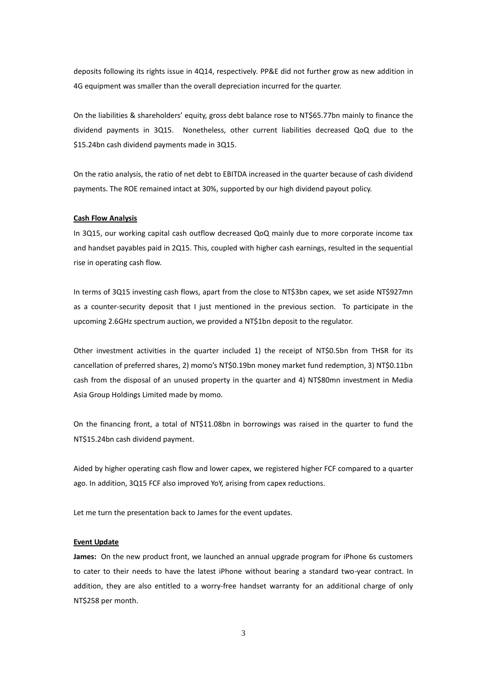deposits following its rights issue in 4Q14, respectively. PP&E did not further grow as new addition in 4G equipment was smaller than the overall depreciation incurred for the quarter.

On the liabilities & shareholders' equity, gross debt balance rose to NT\$65.77bn mainly to finance the dividend payments in 3Q15. Nonetheless, other current liabilities decreased QoQ due to the \$15.24bn cash dividend payments made in 3Q15.

On the ratio analysis, the ratio of net debt to EBITDA increased in the quarter because of cash dividend payments. The ROE remained intact at 30%, supported by our high dividend payout policy.

### **Cash Flow Analysis**

In 3Q15, our working capital cash outflow decreased QoQ mainly due to more corporate income tax and handset payables paid in 2Q15. This, coupled with higher cash earnings, resulted in the sequential rise in operating cash flow.

In terms of 3Q15 investing cash flows, apart from the close to NT\$3bn capex, we set aside NT\$927mn as a counter-security deposit that I just mentioned in the previous section. To participate in the upcoming 2.6GHz spectrum auction, we provided a NT\$1bn deposit to the regulator.

Other investment activities in the quarter included 1) the receipt of NT\$0.5bn from THSR for its cancellation of preferred shares, 2) momo's NT\$0.19bn money market fund redemption, 3) NT\$0.11bn cash from the disposal of an unused property in the quarter and 4) NT\$80mn investment in Media Asia Group Holdings Limited made by momo.

On the financing front, a total of NT\$11.08bn in borrowings was raised in the quarter to fund the NT\$15.24bn cash dividend payment.

Aided by higher operating cash flow and lower capex, we registered higher FCF compared to a quarter ago. In addition, 3Q15 FCF also improved YoY, arising from capex reductions.

Let me turn the presentation back to James for the event updates.

### **Event Update**

**James:** On the new product front, we launched an annual upgrade program for iPhone 6s customers to cater to their needs to have the latest iPhone without bearing a standard two-year contract. In addition, they are also entitled to a worry-free handset warranty for an additional charge of only NT\$258 per month.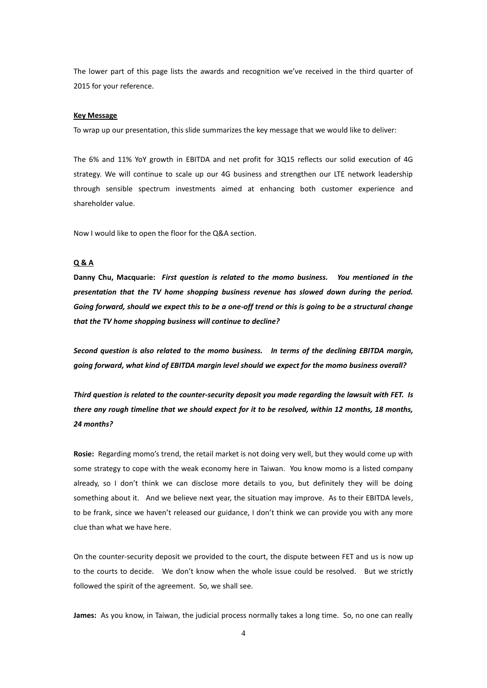The lower part of this page lists the awards and recognition we've received in the third quarter of 2015 for your reference.

#### **Key Message**

To wrap up our presentation, this slide summarizes the key message that we would like to deliver:

The 6% and 11% YoY growth in EBITDA and net profit for 3Q15 reflects our solid execution of 4G strategy. We will continue to scale up our 4G business and strengthen our LTE network leadership through sensible spectrum investments aimed at enhancing both customer experience and shareholder value.

Now I would like to open the floor for the Q&A section.

### **Q & A**

**Danny Chu, Macquarie:** *First question is related to the momo business. You mentioned in the presentation that the TV home shopping business revenue has slowed down during the period. Going forward, should we expect this to be a one-off trend or this is going to be a structural change that the TV home shopping business will continue to decline?*

*Second question is also related to the momo business. In terms of the declining EBITDA margin, going forward, what kind of EBITDA margin level should we expect for the momo business overall?*

*Third question is related to the counter-security deposit you made regarding the lawsuit with FET. Is there any rough timeline that we should expect for it to be resolved, within 12 months, 18 months, 24 months?*

**Rosie:** Regarding momo's trend, the retail market is not doing very well, but they would come up with some strategy to cope with the weak economy here in Taiwan. You know momo is a listed company already, so I don't think we can disclose more details to you, but definitely they will be doing something about it. And we believe next year, the situation may improve. As to their EBITDA levels, to be frank, since we haven't released our guidance, I don't think we can provide you with any more clue than what we have here.

On the counter-security deposit we provided to the court, the dispute between FET and us is now up to the courts to decide. We don't know when the whole issue could be resolved. But we strictly followed the spirit of the agreement. So, we shall see.

**James:** As you know, in Taiwan, the judicial process normally takes a long time. So, no one can really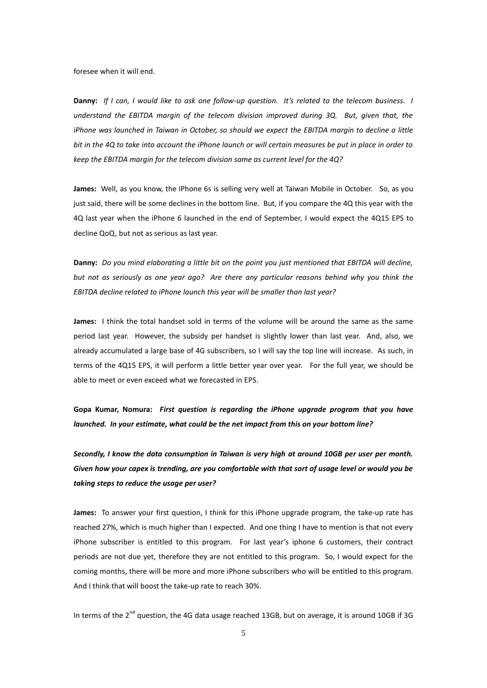foresee when it will end.

**Danny:** *If I can, I would like to ask one follow-up question. It's related to the telecom business. I understand the EBITDA margin of the telecom division improved during 3Q. But, given that, the iPhone was launched in Taiwan in October, so should we expect the EBITDA margin to decline a little bit in the 4Q to take into account the iPhone launch or will certain measures be put in place in order to keep the EBITDA margin for the telecom division same as current level for the 4Q?*

**James:** Well, as you know, the iPhone 6s is selling very well at Taiwan Mobile in October. So, as you just said, there will be some declines in the bottom line. But, if you compare the 4Q this year with the 4Q last year when the iPhone 6 launched in the end of September, I would expect the 4Q15 EPS to decline QoQ, but not as serious as last year.

**Danny:** *Do you mind elaborating a little bit on the point you just mentioned that EBITDA will decline, but not as seriously as one year ago? Are there any particular reasons behind why you think the EBITDA decline related to iPhone launch this year will be smaller than last year?*

**James:** I think the total handset sold in terms of the volume will be around the same as the same period last year. However, the subsidy per handset is slightly lower than last year. And, also, we already accumulated a large base of 4G subscribers, so I will say the top line will increase. As such, in terms of the 4Q15 EPS, it will perform a little better year over year. For the full year, we should be able to meet or even exceed what we forecasted in EPS.

**Gopa Kumar, Nomura:** *First question is regarding the iPhone upgrade program that you have launched. In your estimate, what could be the net impact from this on your bottom line?*

*Secondly, I know the data consumption in Taiwan is very high at around 10GB per user per month. Given how your capex is trending, are you comfortable with that sort of usage level or would you be taking steps to reduce the usage per user?*

**James:** To answer your first question, I think for this iPhone upgrade program, the take-up rate has reached 27%, which is much higher than I expected. And one thing I have to mention is that not every iPhone subscriber is entitled to this program. For last year's iphone 6 customers, their contract periods are not due yet, therefore they are not entitled to this program. So, I would expect for the coming months, there will be more and more iPhone subscribers who will be entitled to this program. And I think that will boost the take-up rate to reach 30%.

In terms of the 2<sup>nd</sup> question, the 4G data usage reached 13GB, but on average, it is around 10GB if 3G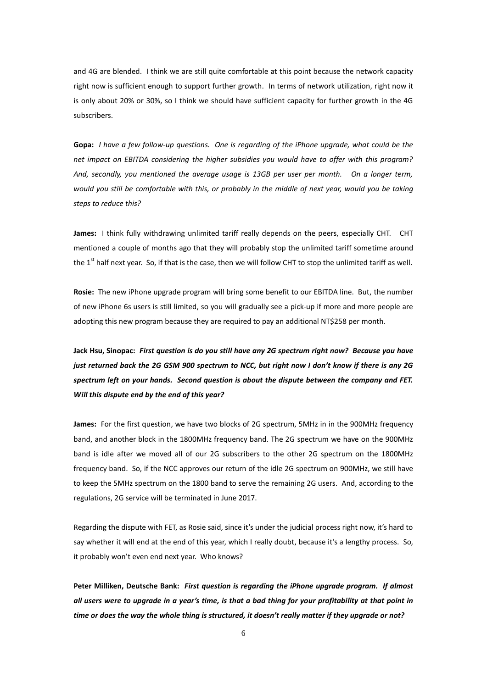and 4G are blended. I think we are still quite comfortable at this point because the network capacity right now is sufficient enough to support further growth. In terms of network utilization, right now it is only about 20% or 30%, so I think we should have sufficient capacity for further growth in the 4G subscribers.

**Gopa:** *I have a few follow-up questions. One is regarding of the iPhone upgrade, what could be the net impact on EBITDA considering the higher subsidies you would have to offer with this program? And, secondly, you mentioned the average usage is 13GB per user per month. On a longer term, would you still be comfortable with this, or probably in the middle of next year, would you be taking steps to reduce this?*

**James:** I think fully withdrawing unlimited tariff really depends on the peers, especially CHT. CHT mentioned a couple of months ago that they will probably stop the unlimited tariff sometime around the  $1<sup>st</sup>$  half next year. So, if that is the case, then we will follow CHT to stop the unlimited tariff as well.

**Rosie:** The new iPhone upgrade program will bring some benefit to our EBITDA line. But, the number of new iPhone 6s users is still limited, so you will gradually see a pick-up if more and more people are adopting this new program because they are required to pay an additional NT\$258 per month.

**Jack Hsu, Sinopac:** *First question is do you still have any 2G spectrum right now? Because you have just returned back the 2G GSM 900 spectrum to NCC, but right now I don't know if there is any 2G spectrum left on your hands. Second question is about the dispute between the company and FET. Will this dispute end by the end of this year?*

**James:** For the first question, we have two blocks of 2G spectrum, 5MHz in in the 900MHz frequency band, and another block in the 1800MHz frequency band. The 2G spectrum we have on the 900MHz band is idle after we moved all of our 2G subscribers to the other 2G spectrum on the 1800MHz frequency band. So, if the NCC approves our return of the idle 2G spectrum on 900MHz, we still have to keep the 5MHz spectrum on the 1800 band to serve the remaining 2G users. And, according to the regulations, 2G service will be terminated in June 2017.

Regarding the dispute with FET, as Rosie said, since it's under the judicial process right now, it's hard to say whether it will end at the end of this year, which I really doubt, because it's a lengthy process. So, it probably won't even end next year. Who knows?

**Peter Milliken, Deutsche Bank:** *First question is regarding the iPhone upgrade program. If almost all users were to upgrade in a year's time, is that a bad thing for your profitability at that point in time or does the way the whole thing is structured, it doesn't really matter if they upgrade or not?*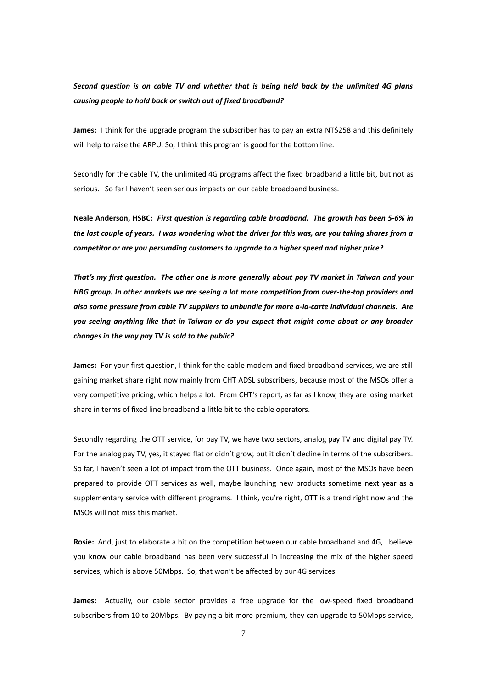*Second question is on cable TV and whether that is being held back by the unlimited 4G plans causing people to hold back or switch out of fixed broadband?* 

**James:** I think for the upgrade program the subscriber has to pay an extra NT\$258 and this definitely will help to raise the ARPU. So, I think this program is good for the bottom line.

Secondly for the cable TV, the unlimited 4G programs affect the fixed broadband a little bit, but not as serious. So far I haven't seen serious impacts on our cable broadband business.

**Neale Anderson, HSBC:** *First question is regarding cable broadband. The growth has been 5-6% in the last couple of years. I was wondering what the driver for this was, are you taking shares from a competitor or are you persuading customers to upgrade to a higher speed and higher price?*

*That's my first question. The other one is more generally about pay TV market in Taiwan and your HBG group. In other markets we are seeing a lot more competition from over-the-top providers and also some pressure from cable TV suppliers to unbundle for more a-la-carte individual channels. Are you seeing anything like that in Taiwan or do you expect that might come about or any broader changes in the way pay TV is sold to the public?*

**James:** For your first question, I think for the cable modem and fixed broadband services, we are still gaining market share right now mainly from CHT ADSL subscribers, because most of the MSOs offer a very competitive pricing, which helps a lot. From CHT's report, as far as I know, they are losing market share in terms of fixed line broadband a little bit to the cable operators.

Secondly regarding the OTT service, for pay TV, we have two sectors, analog pay TV and digital pay TV. For the analog pay TV, yes, it stayed flat or didn't grow, but it didn't decline in terms of the subscribers. So far, I haven't seen a lot of impact from the OTT business. Once again, most of the MSOs have been prepared to provide OTT services as well, maybe launching new products sometime next year as a supplementary service with different programs. I think, you're right, OTT is a trend right now and the MSOs will not miss this market.

**Rosie:** And, just to elaborate a bit on the competition between our cable broadband and 4G, I believe you know our cable broadband has been very successful in increasing the mix of the higher speed services, which is above 50Mbps. So, that won't be affected by our 4G services.

**James:** Actually, our cable sector provides a free upgrade for the low-speed fixed broadband subscribers from 10 to 20Mbps. By paying a bit more premium, they can upgrade to 50Mbps service,